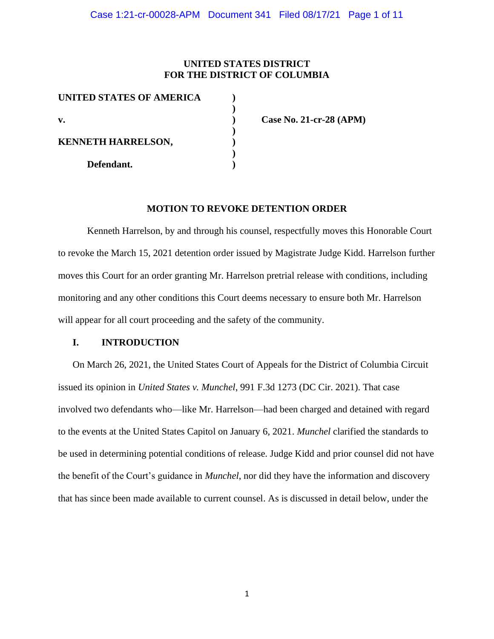### **UNITED STATES DISTRICT FOR THE DISTRICT OF COLUMBIA**

| <b>UNITED STATES OF AMERICA</b> |  |
|---------------------------------|--|
| $\mathbf{v}$ .                  |  |
| <b>KENNETH HARRELSON,</b>       |  |
|                                 |  |
| Defendant.                      |  |

**v. ) Case No. 21-cr-28 (APM)**

### **MOTION TO REVOKE DETENTION ORDER**

Kenneth Harrelson, by and through his counsel, respectfully moves this Honorable Court to revoke the March 15, 2021 detention order issued by Magistrate Judge Kidd. Harrelson further moves this Court for an order granting Mr. Harrelson pretrial release with conditions, including monitoring and any other conditions this Court deems necessary to ensure both Mr. Harrelson will appear for all court proceeding and the safety of the community.

### **I. INTRODUCTION**

On March 26, 2021, the United States Court of Appeals for the District of Columbia Circuit issued its opinion in *United States v. Munchel*, 991 F.3d 1273 (DC Cir. 2021). That case involved two defendants who—like Mr. Harrelson—had been charged and detained with regard to the events at the United States Capitol on January 6, 2021. *Munchel* clarified the standards to be used in determining potential conditions of release. Judge Kidd and prior counsel did not have the benefit of the Court's guidance in *Munchel*, nor did they have the information and discovery that has since been made available to current counsel. As is discussed in detail below, under the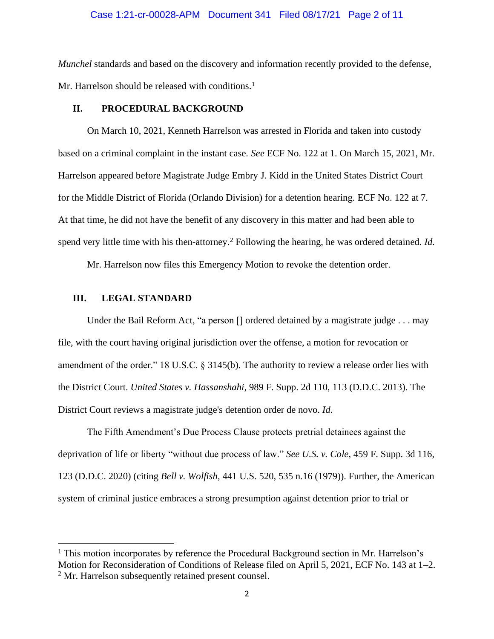### Case 1:21-cr-00028-APM Document 341 Filed 08/17/21 Page 2 of 11

*Munchel* standards and based on the discovery and information recently provided to the defense, Mr. Harrelson should be released with conditions.<sup>1</sup>

#### **II. PROCEDURAL BACKGROUND**

On March 10, 2021, Kenneth Harrelson was arrested in Florida and taken into custody based on a criminal complaint in the instant case. *See* ECF No. 122 at 1. On March 15, 2021, Mr. Harrelson appeared before Magistrate Judge Embry J. Kidd in the United States District Court for the Middle District of Florida (Orlando Division) for a detention hearing. ECF No. 122 at 7. At that time, he did not have the benefit of any discovery in this matter and had been able to spend very little time with his then-attorney.<sup>2</sup> Following the hearing, he was ordered detained. *Id.* 

Mr. Harrelson now files this Emergency Motion to revoke the detention order.

### **III. LEGAL STANDARD**

Under the Bail Reform Act, "a person [] ordered detained by a magistrate judge . . . may file, with the court having original jurisdiction over the offense, a motion for revocation or amendment of the order." 18 U.S.C. § 3145(b). The authority to review a release order lies with the District Court. *United States v. Hassanshahi*, 989 F. Supp. 2d 110, 113 (D.D.C. 2013). The District Court reviews a magistrate judge's detention order de novo. *Id*.

The Fifth Amendment's Due Process Clause protects pretrial detainees against the deprivation of life or liberty "without due process of law." *See U.S. v. Cole*, 459 F. Supp. 3d 116, 123 (D.D.C. 2020) (citing *Bell v. Wolfish*, 441 U.S. 520, 535 n.16 (1979)). Further, the American system of criminal justice embraces a strong presumption against detention prior to trial or

<sup>&</sup>lt;sup>1</sup> This motion incorporates by reference the Procedural Background section in Mr. Harrelson's Motion for Reconsideration of Conditions of Release filed on April 5, 2021, ECF No. 143 at 1–2. <sup>2</sup> Mr. Harrelson subsequently retained present counsel.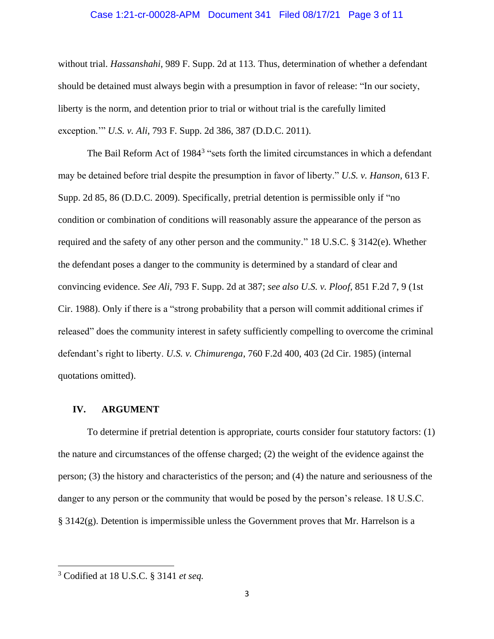### Case 1:21-cr-00028-APM Document 341 Filed 08/17/21 Page 3 of 11

without trial. *Hassanshahi*, 989 F. Supp. 2d at 113. Thus, determination of whether a defendant should be detained must always begin with a presumption in favor of release: "In our society, liberty is the norm, and detention prior to trial or without trial is the carefully limited exception.'" *U.S. v. Ali*, 793 F. Supp. 2d 386, 387 (D.D.C. 2011).

The Bail Reform Act of 1984<sup>3</sup> "sets forth the limited circumstances in which a defendant may be detained before trial despite the presumption in favor of liberty." *U.S. v. Hanson*, 613 F. Supp. 2d 85, 86 (D.D.C. 2009). Specifically, pretrial detention is permissible only if "no condition or combination of conditions will reasonably assure the appearance of the person as required and the safety of any other person and the community." 18 U.S.C. § 3142(e). Whether the defendant poses a danger to the community is determined by a standard of clear and convincing evidence. *See Ali*, 793 F. Supp. 2d at 387; *see also U.S. v. Ploof*, 851 F.2d 7, 9 (1st Cir. 1988). Only if there is a "strong probability that a person will commit additional crimes if released" does the community interest in safety sufficiently compelling to overcome the criminal defendant's right to liberty. *U.S. v. Chimurenga*, 760 F.2d 400, 403 (2d Cir. 1985) (internal quotations omitted).

#### **IV. ARGUMENT**

To determine if pretrial detention is appropriate, courts consider four statutory factors: (1) the nature and circumstances of the offense charged; (2) the weight of the evidence against the person; (3) the history and characteristics of the person; and (4) the nature and seriousness of the danger to any person or the community that would be posed by the person's release. 18 U.S.C.  $\S 3142(g)$ . Detention is impermissible unless the Government proves that Mr. Harrelson is a

<sup>3</sup> Codified at 18 U.S.C. § 3141 *et seq.*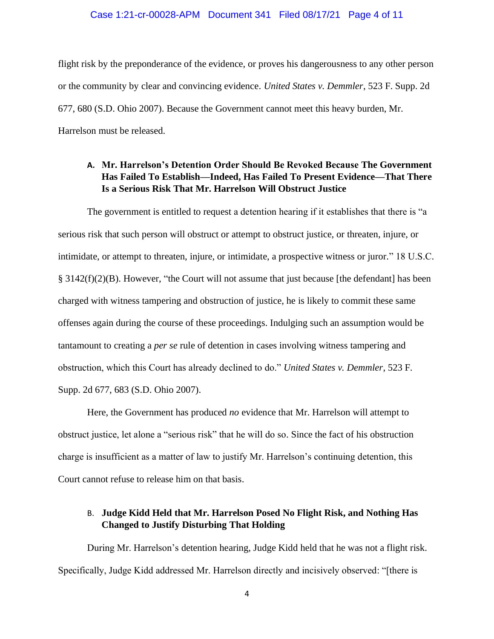#### Case 1:21-cr-00028-APM Document 341 Filed 08/17/21 Page 4 of 11

flight risk by the preponderance of the evidence, or proves his dangerousness to any other person or the community by clear and convincing evidence. *United States v. Demmler*, 523 F. Supp. 2d 677, 680 (S.D. Ohio 2007). Because the Government cannot meet this heavy burden, Mr. Harrelson must be released.

# **A. Mr. Harrelson's Detention Order Should Be Revoked Because The Government Has Failed To Establish—Indeed, Has Failed To Present Evidence—That There Is a Serious Risk That Mr. Harrelson Will Obstruct Justice**

The government is entitled to request a detention hearing if it establishes that there is "a serious risk that such person will obstruct or attempt to obstruct justice, or threaten, injure, or intimidate, or attempt to threaten, injure, or intimidate, a prospective witness or juror." 18 U.S.C.  $\S 3142(f)(2)(B)$ . However, "the Court will not assume that just because [the defendant] has been charged with witness tampering and obstruction of justice, he is likely to commit these same offenses again during the course of these proceedings. Indulging such an assumption would be tantamount to creating a *per se* rule of detention in cases involving witness tampering and obstruction, which this Court has already declined to do." *United States v. Demmler*, 523 F. Supp. 2d 677, 683 (S.D. Ohio 2007).

Here, the Government has produced *no* evidence that Mr. Harrelson will attempt to obstruct justice, let alone a "serious risk" that he will do so. Since the fact of his obstruction charge is insufficient as a matter of law to justify Mr. Harrelson's continuing detention, this Court cannot refuse to release him on that basis.

## B. **Judge Kidd Held that Mr. Harrelson Posed No Flight Risk, and Nothing Has Changed to Justify Disturbing That Holding**

During Mr. Harrelson's detention hearing, Judge Kidd held that he was not a flight risk. Specifically, Judge Kidd addressed Mr. Harrelson directly and incisively observed: "[there is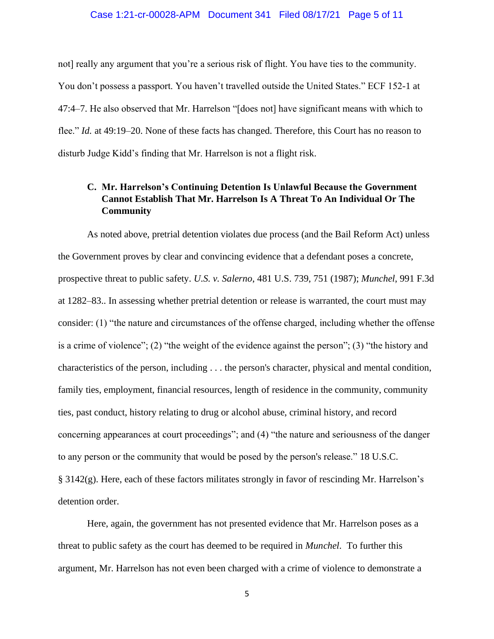### Case 1:21-cr-00028-APM Document 341 Filed 08/17/21 Page 5 of 11

not] really any argument that you're a serious risk of flight. You have ties to the community. You don't possess a passport. You haven't travelled outside the United States." ECF 152-1 at 47:4–7. He also observed that Mr. Harrelson "[does not] have significant means with which to flee." *Id.* at 49:19–20. None of these facts has changed. Therefore, this Court has no reason to disturb Judge Kidd's finding that Mr. Harrelson is not a flight risk.

# **C. Mr. Harrelson's Continuing Detention Is Unlawful Because the Government Cannot Establish That Mr. Harrelson Is A Threat To An Individual Or The Community**

As noted above, pretrial detention violates due process (and the Bail Reform Act) unless the Government proves by clear and convincing evidence that a defendant poses a concrete, prospective threat to public safety. *U.S. v. Salerno*, 481 U.S. 739, 751 (1987); *Munchel*, 991 F.3d at 1282–83.. In assessing whether pretrial detention or release is warranted, the court must may consider: (1) "the nature and circumstances of the offense charged, including whether the offense is a crime of violence"; (2) "the weight of the evidence against the person"; (3) "the history and characteristics of the person, including . . . the person's character, physical and mental condition, family ties, employment, financial resources, length of residence in the community, community ties, past conduct, history relating to drug or alcohol abuse, criminal history, and record concerning appearances at court proceedings"; and (4) "the nature and seriousness of the danger to any person or the community that would be posed by the person's release." 18 U.S.C. § 3142(g). Here, each of these factors militates strongly in favor of rescinding Mr. Harrelson's detention order.

Here, again, the government has not presented evidence that Mr. Harrelson poses as a threat to public safety as the court has deemed to be required in *Munchel*. To further this argument, Mr. Harrelson has not even been charged with a crime of violence to demonstrate a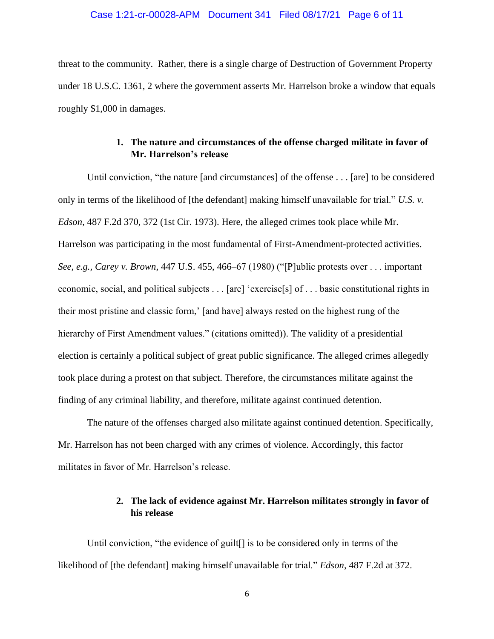### Case 1:21-cr-00028-APM Document 341 Filed 08/17/21 Page 6 of 11

threat to the community. Rather, there is a single charge of Destruction of Government Property under 18 U.S.C. 1361, 2 where the government asserts Mr. Harrelson broke a window that equals roughly \$1,000 in damages.

# **1. The nature and circumstances of the offense charged militate in favor of Mr. Harrelson's release**

Until conviction, "the nature [and circumstances] of the offense . . . [are] to be considered only in terms of the likelihood of [the defendant] making himself unavailable for trial." *U.S. v. Edson*, 487 F.2d 370, 372 (1st Cir. 1973). Here, the alleged crimes took place while Mr. Harrelson was participating in the most fundamental of First-Amendment-protected activities. *See, e.g., Carey v. Brown*, 447 U.S. 455, 466–67 (1980) ("[P]ublic protests over . . . important economic, social, and political subjects . . . [are] 'exercise[s] of . . . basic constitutional rights in their most pristine and classic form,' [and have] always rested on the highest rung of the hierarchy of First Amendment values." (citations omitted)). The validity of a presidential election is certainly a political subject of great public significance. The alleged crimes allegedly took place during a protest on that subject. Therefore, the circumstances militate against the finding of any criminal liability, and therefore, militate against continued detention.

The nature of the offenses charged also militate against continued detention. Specifically, Mr. Harrelson has not been charged with any crimes of violence. Accordingly, this factor militates in favor of Mr. Harrelson's release.

### **2. The lack of evidence against Mr. Harrelson militates strongly in favor of his release**

Until conviction, "the evidence of guilt[] is to be considered only in terms of the likelihood of [the defendant] making himself unavailable for trial." *Edson*, 487 F.2d at 372.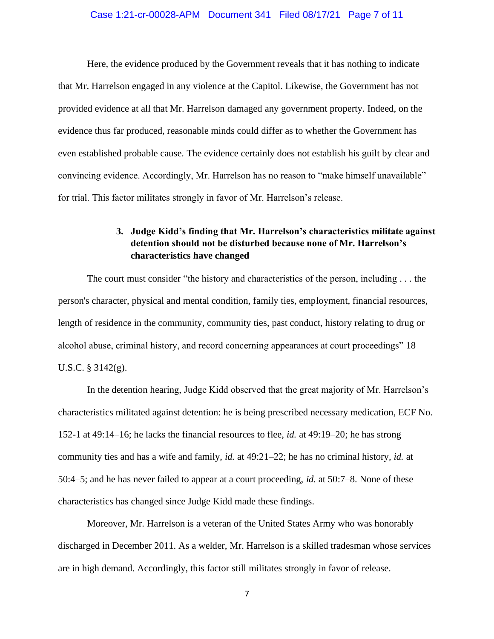### Case 1:21-cr-00028-APM Document 341 Filed 08/17/21 Page 7 of 11

Here, the evidence produced by the Government reveals that it has nothing to indicate that Mr. Harrelson engaged in any violence at the Capitol. Likewise, the Government has not provided evidence at all that Mr. Harrelson damaged any government property. Indeed, on the evidence thus far produced, reasonable minds could differ as to whether the Government has even established probable cause. The evidence certainly does not establish his guilt by clear and convincing evidence. Accordingly, Mr. Harrelson has no reason to "make himself unavailable" for trial. This factor militates strongly in favor of Mr. Harrelson's release.

## **3. Judge Kidd's finding that Mr. Harrelson's characteristics militate against detention should not be disturbed because none of Mr. Harrelson's characteristics have changed**

The court must consider "the history and characteristics of the person, including . . . the person's character, physical and mental condition, family ties, employment, financial resources, length of residence in the community, community ties, past conduct, history relating to drug or alcohol abuse, criminal history, and record concerning appearances at court proceedings" 18 U.S.C. § 3142(g).

In the detention hearing, Judge Kidd observed that the great majority of Mr. Harrelson's characteristics militated against detention: he is being prescribed necessary medication, ECF No. 152-1 at 49:14–16; he lacks the financial resources to flee, *id.* at 49:19–20; he has strong community ties and has a wife and family, *id.* at 49:21–22; he has no criminal history, *id.* at 50:4–5; and he has never failed to appear at a court proceeding, *id.* at 50:7–8. None of these characteristics has changed since Judge Kidd made these findings.

Moreover, Mr. Harrelson is a veteran of the United States Army who was honorably discharged in December 2011. As a welder, Mr. Harrelson is a skilled tradesman whose services are in high demand. Accordingly, this factor still militates strongly in favor of release.

7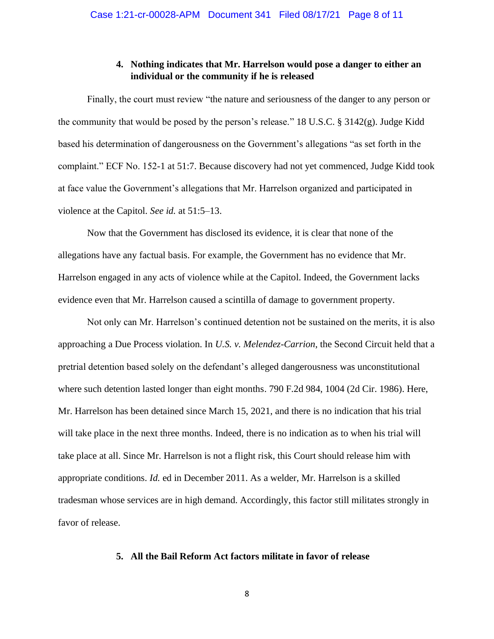### **4. Nothing indicates that Mr. Harrelson would pose a danger to either an individual or the community if he is released**

Finally, the court must review "the nature and seriousness of the danger to any person or the community that would be posed by the person's release." 18 U.S.C. § 3142(g). Judge Kidd based his determination of dangerousness on the Government's allegations "as set forth in the complaint." ECF No. 152-1 at 51:7. Because discovery had not yet commenced, Judge Kidd took at face value the Government's allegations that Mr. Harrelson organized and participated in violence at the Capitol. *See id.* at 51:5–13.

Now that the Government has disclosed its evidence, it is clear that none of the allegations have any factual basis. For example, the Government has no evidence that Mr. Harrelson engaged in any acts of violence while at the Capitol. Indeed, the Government lacks evidence even that Mr. Harrelson caused a scintilla of damage to government property.

Not only can Mr. Harrelson's continued detention not be sustained on the merits, it is also approaching a Due Process violation. In *U.S. v. Melendez-Carrion*, the Second Circuit held that a pretrial detention based solely on the defendant's alleged dangerousness was unconstitutional where such detention lasted longer than eight months. 790 F.2d 984, 1004 (2d Cir. 1986). Here, Mr. Harrelson has been detained since March 15, 2021, and there is no indication that his trial will take place in the next three months. Indeed, there is no indication as to when his trial will take place at all. Since Mr. Harrelson is not a flight risk, this Court should release him with appropriate conditions. *Id.* ed in December 2011. As a welder, Mr. Harrelson is a skilled tradesman whose services are in high demand. Accordingly, this factor still militates strongly in favor of release.

### **5. All the Bail Reform Act factors militate in favor of release**

8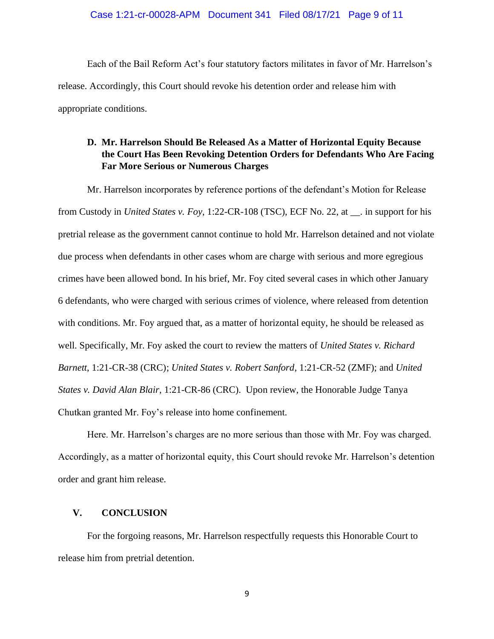Each of the Bail Reform Act's four statutory factors militates in favor of Mr. Harrelson's release. Accordingly, this Court should revoke his detention order and release him with appropriate conditions.

## **D. Mr. Harrelson Should Be Released As a Matter of Horizontal Equity Because the Court Has Been Revoking Detention Orders for Defendants Who Are Facing Far More Serious or Numerous Charges**

Mr. Harrelson incorporates by reference portions of the defendant's Motion for Release from Custody in *United States v. Foy*, 1:22-CR-108 (TSC), ECF No. 22, at \_\_. in support for his pretrial release as the government cannot continue to hold Mr. Harrelson detained and not violate due process when defendants in other cases whom are charge with serious and more egregious crimes have been allowed bond. In his brief, Mr. Foy cited several cases in which other January 6 defendants, who were charged with serious crimes of violence, where released from detention with conditions. Mr. Foy argued that, as a matter of horizontal equity, he should be released as well. Specifically, Mr. Foy asked the court to review the matters of *United States v. Richard Barnett*, 1:21-CR-38 (CRC); *United States v. Robert Sanford*, 1:21-CR-52 (ZMF); and *United States v. David Alan Blair*, 1:21-CR-86 (CRC). Upon review, the Honorable Judge Tanya Chutkan granted Mr. Foy's release into home confinement.

Here. Mr. Harrelson's charges are no more serious than those with Mr. Foy was charged. Accordingly, as a matter of horizontal equity, this Court should revoke Mr. Harrelson's detention order and grant him release.

### **V. CONCLUSION**

For the forgoing reasons, Mr. Harrelson respectfully requests this Honorable Court to release him from pretrial detention.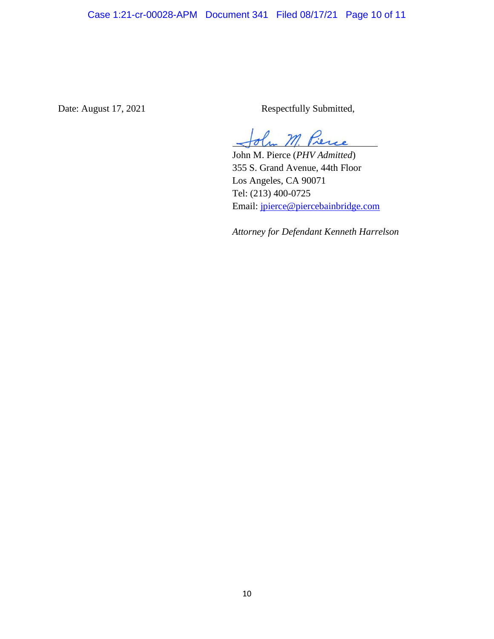Date: August 17, 2021 Respectfully Submitted,

 $m$ 

John M. Pierce (*PHV Admitted*) 355 S. Grand Avenue, 44th Floor Los Angeles, CA 90071 Tel: (213) 400-0725 Email: jpierce@piercebainbridge.com

*Attorney for Defendant Kenneth Harrelson*